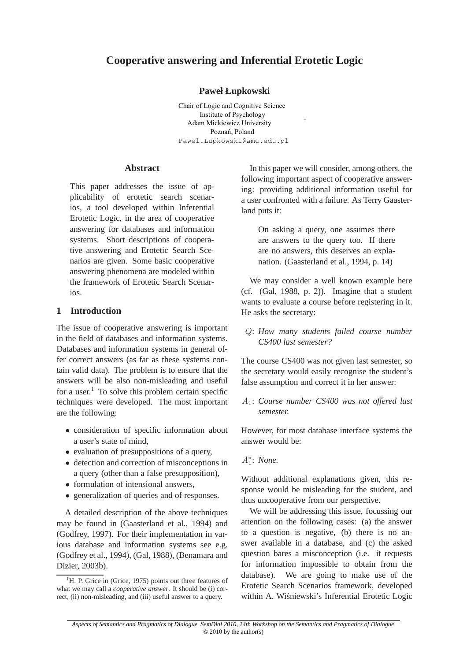# **Cooperative answering and Inferential Erotetic Logic**

### **Paweł Łupkowski**

Chair of Logic and Cognitive Science Institute of Psychology Adam Mickiewicz University Poznań, Poland Pawel.Lupkowski@amu.edu.pl

### **Abstract**

This paper addresses the issue of applicability of erotetic search scenarios, a tool developed within Inferential Erotetic Logic, in the area of cooperative answering for databases and information systems. Short descriptions of cooperative answering and Erotetic Search Scenarios are given. Some basic cooperative answering phenomena are modeled within the framework of Erotetic Search Scenarios.

### **1 Introduction**

The issue of cooperative answering is important in the field of databases and information systems. Databases and information systems in general offer correct answers (as far as these systems contain valid data). The problem is to ensure that the answers will be also non-misleading and useful for a user.<sup>1</sup> To solve this problem certain specific techniques were developed. The most important are the following:

- consideration of specific information about a user's state of mind,
- evaluation of presuppositions of a query,
- detection and correction of misconceptions in a query (other than a false presupposition),
- formulation of intensional answers,
- generalization of queries and of responses.

A detailed description of the above techniques may be found in (Gaasterland et al., 1994) and (Godfrey, 1997). For their implementation in various database and information systems see e.g. (Godfrey et al., 1994), (Gal, 1988), (Benamara and Dizier, 2003b).

In this paper we will consider, among others, the following important aspect of cooperative answering: providing additional information useful for a user confronted with a failure. As Terry Gaasterland puts it:

On asking a query, one assumes there are answers to the query too. If there are no answers, this deserves an explanation. (Gaasterland et al., 1994, p. 14)

We may consider a well known example here (cf. (Gal, 1988, p. 2)). Imagine that a student wants to evaluate a course before registering in it. He asks the secretary:

### Q: *How many students failed course number CS400 last semester?*

The course CS400 was not given last semester, so the secretary would easily recognise the student's false assumption and correct it in her answer:

A1: *Course number CS400 was not offered last semester.*

However, for most database interface systems the answer would be:

A∗ 1 : *None.*

Without additional explanations given, this response would be misleading for the student, and thus uncooperative from our perspective.

We will be addressing this issue, focussing our attention on the following cases: (a) the answer to a question is negative, (b) there is no answer available in a database, and (c) the asked question bares a misconception (i.e. it requests for information impossible to obtain from the database). We are going to make use of the Erotetic Search Scenarios framework, developed within A. Wiśniewski's Inferential Erotetic Logic

© 2010 by the author(s) *Aspects of Semantics and Pragmatics of Dialogue. SemDial 2010, 14th Workshop on the Semantics and Pragmatics of Dialogue*

 ${}^{1}$ H. P. Grice in (Grice, 1975) points out three features of what we may call a *cooperative answer*. It should be (i) correct, (ii) non-misleading, and (iii) useful answer to a query.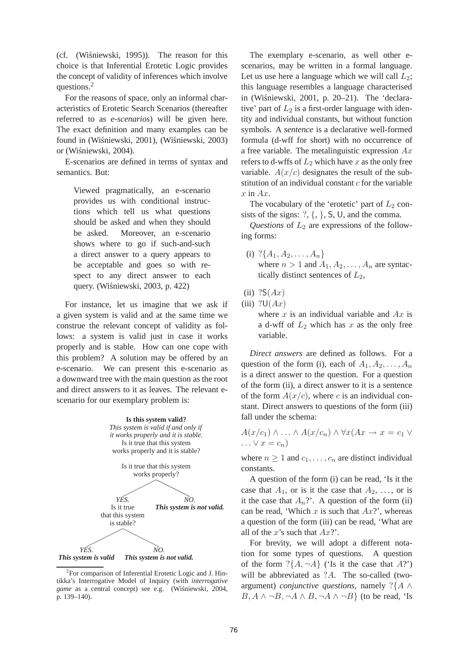(cf. (Wiśniewski, 1995)). The reason for this choice is that Inferential Erotetic Logic provides the concept of validity of inferences which involve questions.<sup>2</sup>

For the reasons of space, only an informal characteristics of Erotetic Search Scenarios (thereafter referred to as *e-scenarios*) will be given here. The exact definition and many examples can be found in (Wiśniewski, 2001), (Wiśniewski, 2003) or (Wiśniewski, 2004).

E-scenarios are defined in terms of syntax and semantics. But:

Viewed pragmatically, an e-scenario provides us with conditional instructions which tell us what questions should be asked and when they should be asked. Moreover, an e-scenario shows where to go if such-and-such a direct answer to a query appears to be acceptable and goes so with respect to any direct answer to each query. (Wiśniewski, 2003, p. 422)

For instance, let us imagine that we ask if a given system is valid and at the same time we construe the relevant concept of validity as follows: a system is valid just in case it works properly and is stable. How can one cope with this problem? A solution may be offered by an e-scenario. We can present this e-scenario as a downward tree with the main question as the root and direct answers to it as leaves. The relevant escenario for our exemplary problem is:



<sup>&</sup>lt;sup>2</sup> For comparison of Inferential Erotetic Logic and J. Hintikka's Interrogative Model of Inquiry (with *interrogative* game as a central concept) see e.g. (Wiśniewski, 2004, p. 139–140).

The exemplary e-scenario, as well other escenarios, may be written in a formal language. Let us use here a language which we will call  $L_2$ ; this language resembles a language characterised in (Wiśniewski, 2001, p. 20-21). The 'declarative' part of  $L_2$  is a first-order language with identity and individual constants, but without function symbols. A *sentence* is a declarative well-formed formula (d-wff for short) with no occurrence of a free variable. The metalinguistic expression  $Ax$ refers to d-wffs of  $L_2$  which have x as the only free variable.  $A(x/c)$  designates the result of the substitution of an individual constant  $c$  for the variable  $x$  in  $Ax$ .

The vocabulary of the 'erotetic' part of  $L_2$  consists of the signs:  $?\, \{\, \}, \, \mathsf{S}, \, \mathsf{U}, \, \mathsf{and} \, \mathsf{the} \, \mathsf{comm}$ .

*Questions* of  $L_2$  are expressions of the following forms:

- (i)  $?{A_1, A_2, \ldots, A_n}$ where  $n > 1$  and  $A_1, A_2, \ldots, A_n$  are syntactically distinct sentences of  $L_2$ ,
- (ii)  $?S(Ax)$
- (iii)  $?U(Ax)$

where x is an individual variable and  $Ax$  is a d-wff of  $L_2$  which has x as the only free variable.

*Direct answers* are defined as follows. For a question of the form (i), each of  $A_1, A_2, \ldots, A_n$ is a direct answer to the question. For a question of the form (ii), a direct answer to it is a sentence of the form  $A(x/c)$ , where c is an individual constant. Direct answers to questions of the form (iii) fall under the schema:

$$
A(x/c_1) \wedge \ldots \wedge A(x/c_n) \wedge \forall x (Ax \to x = c_1 \vee \ldots \vee x = c_n)
$$

where  $n \geq 1$  and  $c_1, \ldots, c_n$  are distinct individual constants.

A question of the form (i) can be read, 'Is it the case that  $A_1$ , or is it the case that  $A_2$ , ..., or is it the case that  $A_n$ ?'. A question of the form (ii) can be read, 'Which  $x$  is such that  $Ax$ ?', whereas a question of the form (iii) can be read, 'What are all of the x's such that  $Ax$ ?'.

For brevity, we will adopt a different notation for some types of questions. A question of the form  $?\{A, \neg A\}$  ('Is it the case that A?') will be abbreviated as  $?A$ . The so-called (twoargument) *conjunctive questions*, namely ?{A ∧  $B, A \wedge \neg B, \neg A \wedge B, \neg A \wedge \neg B$  (to be read, 'Is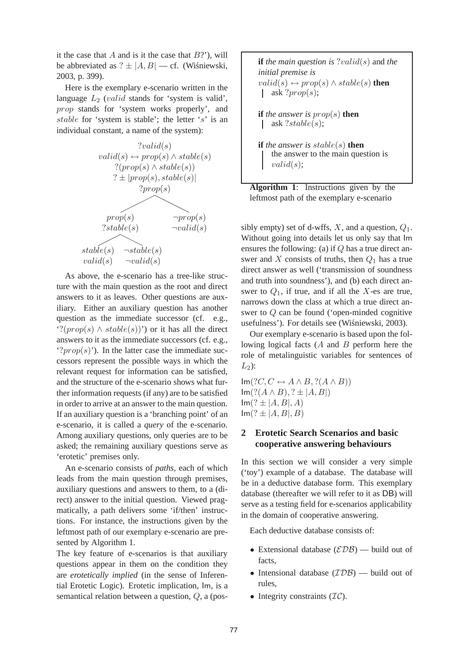it the case that  $A$  and is it the case that  $B$ ?'), will be abbreviated as  $? \pm |A, B|$  — cf. (Wisniewski, 2003, p. 399).

Here is the exemplary e-scenario written in the language  $L_2$  (*valid* stands for 'system is valid', prop stands for 'system works properly', and stable for 'system is stable'; the letter 's' is an individual constant, a name of the system):



As above, the e-scenario has a tree-like structure with the main question as the root and direct answers to it as leaves. Other questions are auxiliary. Either an auxiliary question has another question as the immediate successor (cf. e.g., '?( $prop(s) \wedge stable(s)$ ') or it has all the direct answers to it as the immediate successors (cf. e.g., '? $prop(s)$ '). In the latter case the immediate successors represent the possible ways in which the relevant request for information can be satisfied, and the structure of the e-scenario shows what further information requests (if any) are to be satisfied in order to arrive at an answer to the main question. If an auxiliary question is a 'branching point' of an e-scenario, it is called a *query* of the e-scenario. Among auxiliary questions, only queries are to be asked; the remaining auxiliary questions serve as 'erotetic' premises only.

An e-scenario consists of *paths*, each of which leads from the main question through premises, auxiliary questions and answers to them, to a (direct) answer to the initial question. Viewed pragmatically, a path delivers some 'if/then' instructions. For instance, the instructions given by the leftmost path of our exemplary e-scenario are presented by Algorithm 1.

The key feature of e-scenarios is that auxiliary questions appear in them on the condition they are *erotetically implied* (in the sense of Inferential Erotetic Logic). Erotetic implication, Im, is a semantical relation between a question, Q, a (pos**if** *the main question is* ?valid(s) and *the initial premise is*  $valid(s) \leftrightarrow prop(s) \wedge stable(s)$  **then** ask ? $prop(s)$ ; **if** the answer is  $prop(s)$  **then** ask ?stable(s);  $\mathbf{I}$ **if** *the answer is* stable(s) **then** the answer to the main question is  $valid(s);$ 



sibly empty) set of d-wffs,  $X$ , and a question,  $Q_1$ . Without going into details let us only say that Im ensures the following: (a) if  $Q$  has a true direct answer and X consists of truths, then  $Q_1$  has a true direct answer as well ('transmission of soundness and truth into soundness'), and (b) each direct answer to  $Q_1$ , if true, and if all the X-es are true, narrows down the class at which a true direct answer to Q can be found ('open-minded cognitive usefulness'). For details see (Wiśniewski, 2003).

Our exemplary e-scenario is based upon the following logical facts  $(A \text{ and } B \text{ perform here the})$ role of metalinguistic variables for sentences of  $L_2$ :

 $Im(?C, C \leftrightarrow A \wedge B, ?(A \wedge B))$  $Im(?((A \wedge B), ? \pm |A, B|))$  $Im(? \pm |A, B|, A)$  $Im(? \pm |A, B|, B)$ 

## **2 Erotetic Search Scenarios and basic cooperative answering behaviours**

In this section we will consider a very simple ('toy') example of a database. The database will be in a deductive database form. This exemplary database (thereafter we will refer to it as DB) will serve as a testing field for e-scenarios applicability in the domain of cooperative answering.

Each deductive database consists of:

- Extensional database  $(\mathcal{EDB})$  build out of facts,
- Intensional database  $(TDB)$  build out of rules,
- Integrity constraints  $(\mathcal{IC})$ .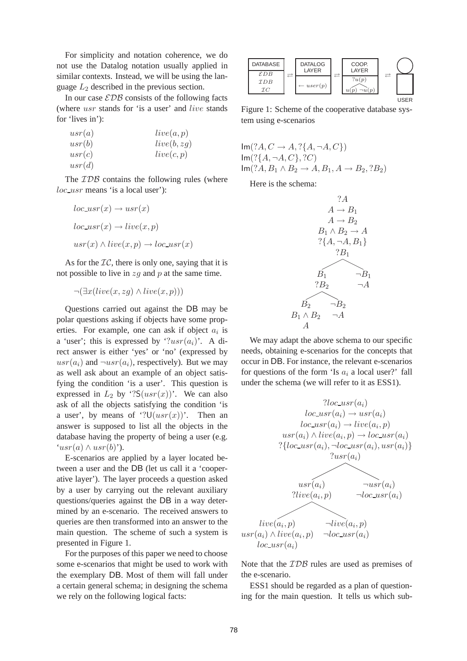For simplicity and notation coherence, we do not use the Datalog notation usually applied in similar contexts. Instead, we will be using the language  $L_2$  described in the previous section.

In our case  $EDB$  consists of the following facts (where usr stands for 'is a user' and live stands for 'lives in'):

| usr(a) | live(a,p)   |
|--------|-------------|
| usr(b) | live(b, zg) |
| usr(c) | live(c,p)   |
| usr(d) |             |

The  $IDB$  contains the following rules (where loc\_usr means 'is a local user'):

$$
loc\_usr(x) \to usr(x)
$$
  

$$
loc\_usr(x) \to live(x, p)
$$
  

$$
usr(x) \land live(x, p) \to loc\_usr(x)
$$

As for the  $\mathcal{IC}$ , there is only one, saying that it is not possible to live in  $zq$  and p at the same time.

$$
\neg(\exists x(live(x, zg) \land live(x, p)))
$$

Questions carried out against the DB may be polar questions asking if objects have some properties. For example, one can ask if object  $a_i$  is a 'user'; this is expressed by ' $?usr(a_i)$ '. A direct answer is either 'yes' or 'no' (expressed by  $usr(a_i)$  and  $\neg usr(a_i)$ , respectively). But we may as well ask about an example of an object satisfying the condition 'is a user'. This question is expressed in  $L_2$  by '? $S(usr(x))$ '. We can also ask of all the objects satisfying the condition 'is a user', by means of '? $U(usr(x))$ '. Then an answer is supposed to list all the objects in the database having the property of being a user (e.g.  $'usr(a) \wedgeusr(b)$ .

E-scenarios are applied by a layer located between a user and the DB (let us call it a 'cooperative layer'). The layer proceeds a question asked by a user by carrying out the relevant auxiliary questions/queries against the DB in a way determined by an e-scenario. The received answers to queries are then transformed into an answer to the main question. The scheme of such a system is presented in Figure 1.

For the purposes of this paper we need to choose some e-scenarios that might be used to work with the exemplary DB. Most of them will fall under a certain general schema; in designing the schema we rely on the following logical facts:

| <b>DATABASE</b>              |   | <b>DATALOG</b><br>LAYER | COOP.<br>LAYER |   |              |
|------------------------------|---|-------------------------|----------------|---|--------------|
| $\mathcal{E}DB$<br>IDB<br>ŦС | → | $\leftarrow user(p)$    | ?u(p)          | ⇄ |              |
|                              |   |                         |                |   | <b>LISER</b> |

Figure 1: Scheme of the cooperative database system using e-scenarios

$$
\begin{aligned} &\operatorname{Im}(?A,C \to A, ?\{A, \neg A, C\}) \\ &\operatorname{Im}(? \{A, \neg A, C\}, ?C) \\ &\operatorname{Im}(?A, B_1 \wedge B_2 \to A, B_1, A \to B_2, ?B_2) \end{aligned}
$$

Here is the schema:



We may adapt the above schema to our specific needs, obtaining e-scenarios for the concepts that occur in DB. For instance, the relevant e-scenarios for questions of the form 'Is  $a_i$  a local user?' fall under the schema (we will refer to it as ESS1).



Note that the *IDB* rules are used as premises of the e-scenario.

ESS1 should be regarded as a plan of questioning for the main question. It tells us which sub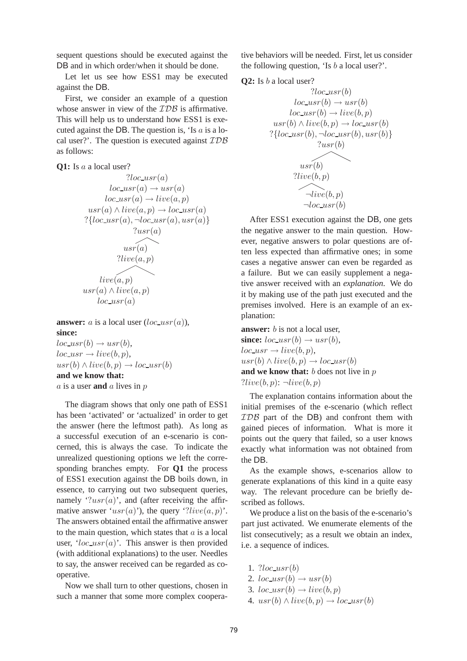sequent questions should be executed against the DB and in which order/when it should be done.

Let let us see how ESS1 may be executed against the DB.

First, we consider an example of a question whose answer in view of the *IDB* is affirmative. This will help us to understand how ESS1 is executed against the DB. The question is, 'Is  $a$  is a local user?'. The question is executed against  $\mathcal{IDB}$ as follows:

**Q1:** Is a a local user?

$$
?loc_usr(a)
$$
  
\n
$$
loc_usr(a) \rightarrow usr(a)
$$
  
\n
$$
loc_usr(a) \rightarrow live(a, p)
$$
  
\n
$$
usr(a) \land live(a, p) \rightarrow loc_usr(a)
$$
  
\n
$$
? \{loc_usr(a), \neg loc_usr(a), usr(a)\}
$$
  
\n
$$
?live(a, p)
$$
  
\n
$$
live(a, p)
$$
  
\n
$$
usr(a) \land live(a, p)
$$
  
\n
$$
loc_usr(a)
$$

**answer:** *a* is a local user  $(loc_{{\text{u}}s r(a))$ , **since:**

 $loc_{{-}usr(b)} \rightarrow usr(b),$  $loc_{{-}usr}\rightarrow live(b,p),$  $usr(b) \wedge live(b,p) \rightarrow loc\_usr(b)$ **and we know that:** a is a user **and** a lives in p

The diagram shows that only one path of ESS1 has been 'activated' or 'actualized' in order to get the answer (here the leftmost path). As long as a successful execution of an e-scenario is concerned, this is always the case. To indicate the unrealized questioning options we left the corresponding branches empty. For **Q1** the process of ESS1 execution against the DB boils down, in essence, to carrying out two subsequent queries, namely  $\lq$ '?usr(a)', and (after receiving the affirmative answer ' $usr(a)$ '), the query '?live(a, p)'. The answers obtained entail the affirmative answer to the main question, which states that  $\alpha$  is a local user, ' $loc_{{\scriptscriptstyle 1}} \infty$ '. This answer is then provided (with additional explanations) to the user. Needles to say, the answer received can be regarded as cooperative.

Now we shall turn to other questions, chosen in such a manner that some more complex cooperative behaviors will be needed. First, let us consider the following question, 'Is  $b$  a local user?'.





After ESS1 execution against the DB, one gets the negative answer to the main question. However, negative answers to polar questions are often less expected than affirmative ones; in some cases a negative answer can even be regarded as a failure. But we can easily supplement a negative answer received with an *explanation*. We do it by making use of the path just executed and the premises involved. Here is an example of an explanation:

**answer:** *b* is not a local user, **since:**  $loc\_usr(b) \rightarrow usr(b)$ ,  $loc\_usr \rightarrow live(b,p),$  $usr(b) \wedge live(b,p) \rightarrow loc\_usr(b)$ **and we know that:** b does not live in p  $?live(b,p): \neg live(b,p)$ 

The explanation contains information about the initial premises of the e-scenario (which reflect IDB part of the DB) and confront them with gained pieces of information. What is more it points out the query that failed, so a user knows exactly what information was not obtained from the DB.

As the example shows, e-scenarios allow to generate explanations of this kind in a quite easy way. The relevant procedure can be briefly described as follows.

We produce a list on the basis of the e-scenario's part just activated. We enumerate elements of the list consecutively; as a result we obtain an index, i.e. a sequence of indices.

- 1.  $?loc_usr(b)$
- 2.  $loc\_usr(b) \rightarrow usr(b)$
- 3.  $loc\_usr(b) \rightarrow live(b,p)$
- 4.  $usr(b) \wedge live(b,p) \rightarrow loc\_usr(b)$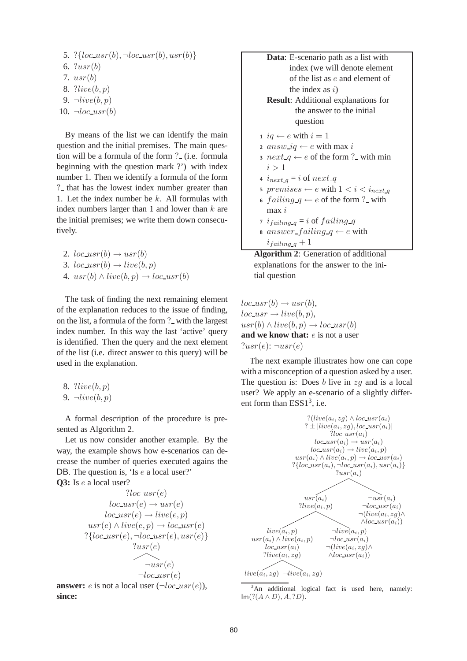- 5. ?{ $loc_usr(b), \neg loc_usr(b),usr(b)$ } 6.  $?usr(b)$ 7. usr(b) 8. ?live(b,p) 9.  $\neg live(b,p)$
- 10.  $\neg loc_usr(b)$

By means of the list we can identify the main question and the initial premises. The main question will be a formula of the form ? (i.e. formula beginning with the question mark ?') with index number 1. Then we identify a formula of the form ? that has the lowest index number greater than 1. Let the index number be  $k$ . All formulas with index numbers larger than 1 and lower than  $k$  are the initial premises; we write them down consecutively.

2.  $loc_{{-}usr}(b) \rightarrow usr(b)$ 3.  $loc\_usr(b) \rightarrow live(b,p)$ 4.  $usr(b) \wedge live(b,p) \rightarrow loc\_usr(b)$ 

The task of finding the next remaining element of the explanation reduces to the issue of finding, on the list, a formula of the form ? with the largest index number. In this way the last 'active' query is identified. Then the query and the next element of the list (i.e. direct answer to this query) will be used in the explanation.

8. ?live(b,p) 9. ¬live(b,p)

A formal description of the procedure is presented as Algorithm 2.

Let us now consider another example. By the way, the example shows how e-scenarios can decrease the number of queries executed agains the DB. The question is, 'Is e a local user?' **Q3:** Is e a local user?

$$
?loc_usr(e)
$$
  
\n
$$
loc_usr(e) \rightarrow usr(e)
$$
  
\n
$$
loc_usr(e) \rightarrow live(e, p)
$$
  
\n
$$
usr(e) \land live(e, p) \rightarrow loc_usr(e)
$$
  
\n
$$
?{loc_usr(e), \neg loc_usr(e),usr(e)}
$$
  
\n
$$
?usr(e)
$$
  
\n
$$
\neg usr(e)
$$
  
\n
$$
\neg loc_usr(e)
$$
  
\nanswer: e is not a local user ( $\neg loc_usr(e)$ ),  
\nsince:



**Algorithm 2**: Generation of additional explanations for the answer to the initial question

 $loc\_usr(b) \rightarrow usr(b),$  $loc\_usr \rightarrow live(b,p),$  $usr(b) \wedge live(b,p) \rightarrow loc\_usr(b)$ **and we know that:** e is not a user  $?usr(e): \neg usr(e)$ 

The next example illustrates how one can cope with a misconception of a question asked by a user. The question is: Does  $b$  live in  $zq$  and is a local user? We apply an e-scenario of a slightly different form than  $ESS1^3$ , i.e.



 $3$ An additional logical fact is used here, namely:  $Im(?$ (*A* ∧ *D*), *A*, *?D*).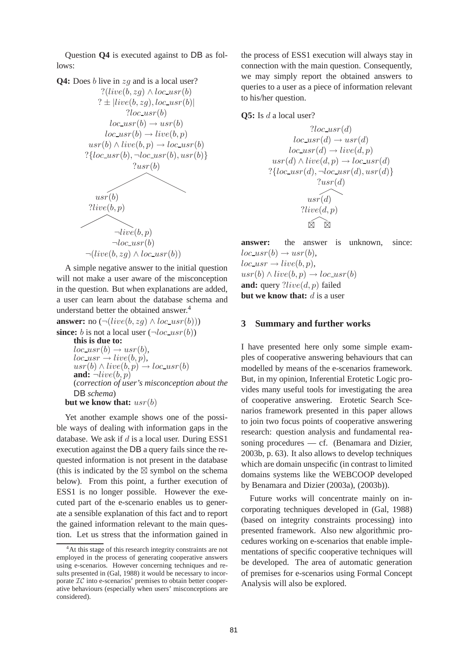Question **Q4** is executed against to DB as follows:



A simple negative answer to the initial question will not make a user aware of the misconception in the question. But when explanations are added, a user can learn about the database schema and understand better the obtained answer.<sup>4</sup>

**answer:** no  $(\neg(live(b, zg) \land loc\_usr(b)))$ **since:** b is not a local user  $(\neg loc\_usr(b))$ **this is due to:**  $loc\_usr(b) \rightarrow usr(b),$  $loc\_usr \rightarrow live(b,p),$  $usr(b) \wedge live(b,p) \rightarrow loc\_usr(b)$ **and:**  $\neg live(b,p)$ (*correction of user's misconception about the* DB *schema*) **but we know that:** usr(b)

Yet another example shows one of the possible ways of dealing with information gaps in the database. We ask if  $d$  is a local user. During ESS1 execution against the DB a query fails since the requested information is not present in the database (this is indicated by the  $\boxtimes$  symbol on the schema below). From this point, a further execution of ESS1 is no longer possible. However the executed part of the e-scenario enables us to generate a sensible explanation of this fact and to report the gained information relevant to the main question. Let us stress that the information gained in the process of ESS1 execution will always stay in connection with the main question. Consequently, we may simply report the obtained answers to queries to a user as a piece of information relevant to his/her question.

**Q5:** Is *d* a local user?

$$
?loc.usr(d)
$$
  
\n
$$
loc.usr(d) \rightarrow usr(d)
$$
  
\n
$$
loc.usr(d) \rightarrow live(d, p)
$$
  
\n
$$
usr(d) \land live(d, p) \rightarrow loc.usr(d)
$$
  
\n
$$
? \{loc.usr(d), \neg loc.usr(d), usr(d)\}
$$
  
\n
$$
?usr(d)
$$
  
\n
$$
?live(d, p)
$$
  
\n
$$
\boxtimes
$$

**answer:** the answer is unknown, since:  $loc\_usr(b) \rightarrow usr(b),$  $loc\_usr \rightarrow live(b,p),$  $usr(b) \wedge live(b,p) \rightarrow loc\_usr(b)$ **and:** query ?*live*(*d*, *p*) failed **but we know that:**  $d$  is a user

### **3 Summary and further works**

I have presented here only some simple examples of cooperative answering behaviours that can modelled by means of the e-scenarios framework. But, in my opinion, Inferential Erotetic Logic provides many useful tools for investigating the area of cooperative answering. Erotetic Search Scenarios framework presented in this paper allows to join two focus points of cooperative answering research: question analysis and fundamental reasoning procedures — cf. (Benamara and Dizier, 2003b, p. 63). It also allows to develop techniques which are domain unspecific (in contrast to limited domains systems like the WEBCOOP developed by Benamara and Dizier (2003a), (2003b)).

Future works will concentrate mainly on incorporating techniques developed in (Gal, 1988) (based on integrity constraints processing) into presented framework. Also new algorithmic procedures working on e-scenarios that enable implementations of specific cooperative techniques will be developed. The area of automatic generation of premises for e-scenarios using Formal Concept Analysis will also be explored.

<sup>&</sup>lt;sup>4</sup>At this stage of this research integrity constraints are not employed in the process of generating cooperative answers using e-scenarios. However concerning techniques and results presented in (Gal, 1988) it would be necessary to incorporate  $TC$  into e-scenarios' premises to obtain better cooperative behaviours (especially when users' misconceptions are considered).